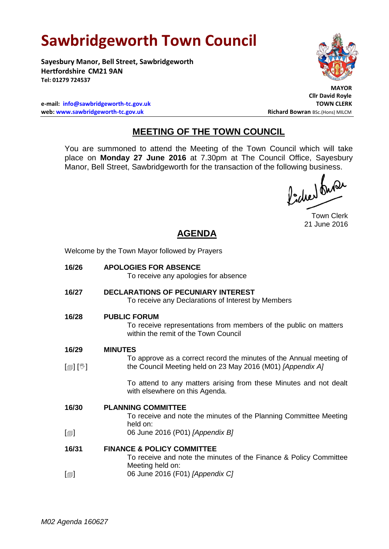## **Sawbridgeworth Town Council**

Welcome by the Town Mayor followed by Prayers

**Sayesbury Manor, Bell Street, Sawbridgeworth Hertfordshire CM21 9AN Tel: 01279 724537**

 **MAYOR**

**Cllr David Royle**

**e-mail:**  $\frac{inf_0}{in}$  **[info@sawbridgeworth-tc.gov.uk](mailto:info@sawbridgeworth-tc.gov.uk)**<br>**11.1 web: www.sawbridgeworth-tc.gov.uk**<br>Richard Bowran BSc.(Hons) MILCM web: www.sawbridgeworth-tc.gov.uk

## **MEETING OF THE TOWN COUNCIL**

You are summoned to attend the Meeting of the Town Council which will take place on **Monday 27 June 2016** at 7.30pm at The Council Office, Sayesbury Manor, Bell Street, Sawbridgeworth for the transaction of the following business.<br>  $\int_{1}^{1} \int \mathbf{M} \mathbf{M}$ 

Town Clerk 21 June 2016

## **AGENDA**

| 16/26                        | <b>APOLOGIES FOR ABSENCE</b><br>To receive any apologies for absence                                                              |
|------------------------------|-----------------------------------------------------------------------------------------------------------------------------------|
| 16/27                        | <b>DECLARATIONS OF PECUNIARY INTEREST</b><br>To receive any Declarations of Interest by Members                                   |
| 16/28                        | <b>PUBLIC FORUM</b><br>To receive representations from members of the public on matters<br>within the remit of the Town Council   |
| 16/29                        | <b>MINUTES</b>                                                                                                                    |
| $\mathbb{D}[\mathbb{D}^1]$   | To approve as a correct record the minutes of the Annual meeting of<br>the Council Meeting held on 23 May 2016 (M01) [Appendix A] |
|                              | To attend to any matters arising from these Minutes and not dealt<br>with elsewhere on this Agenda.                               |
| 16/30                        | <b>PLANNING COMMITTEE</b><br>To receive and note the minutes of the Planning Committee Meeting<br>held on:                        |
| $\lceil \circledcirc \rceil$ | 06 June 2016 (P01) [Appendix B]                                                                                                   |
| 16/31                        | <b>FINANCE &amp; POLICY COMMITTEE</b><br>To receive and note the minutes of the Finance & Policy Committee<br>Meeting held on:    |
| $[\blacksquare]$             | 06 June 2016 (F01) [Appendix C]                                                                                                   |